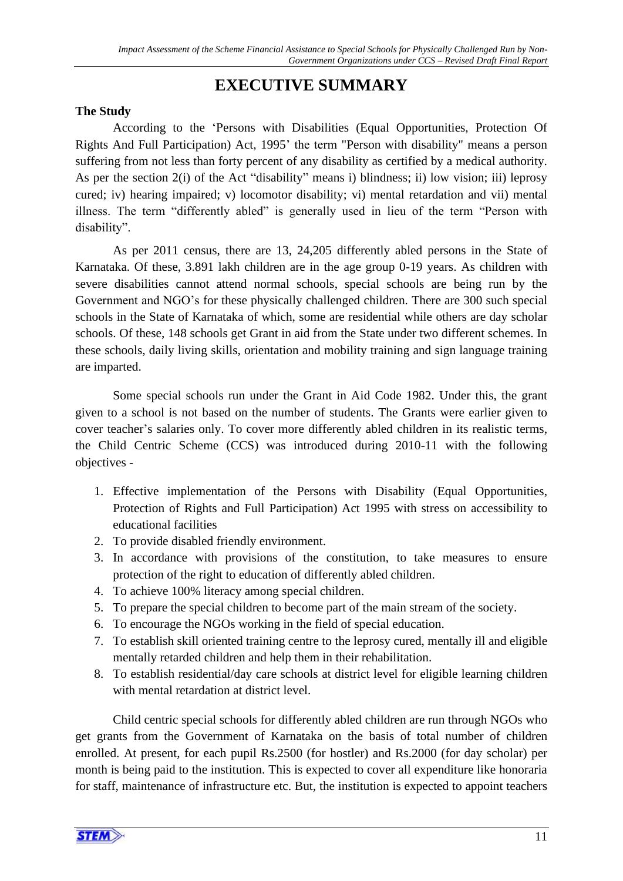# **EXECUTIVE SUMMARY**

## **The Study**

According to the 'Persons with Disabilities (Equal Opportunities, Protection Of Rights And Full Participation) Act, 1995' the term "Person with disability" means a person suffering from not less than forty percent of any disability as certified by a medical authority. As per the section 2(i) of the Act "disability" means i) blindness; ii) low vision; iii) leprosy cured; iv) hearing impaired; v) locomotor disability; vi) mental retardation and vii) mental illness. The term "differently abled" is generally used in lieu of the term "Person with disability".

As per 2011 census, there are 13, 24,205 differently abled persons in the State of Karnataka. Of these, 3.891 lakh children are in the age group 0-19 years. As children with severe disabilities cannot attend normal schools, special schools are being run by the Government and NGO's for these physically challenged children. There are 300 such special schools in the State of Karnataka of which, some are residential while others are day scholar schools. Of these, 148 schools get Grant in aid from the State under two different schemes. In these schools, daily living skills, orientation and mobility training and sign language training are imparted.

Some special schools run under the Grant in Aid Code 1982. Under this, the grant given to a school is not based on the number of students. The Grants were earlier given to cover teacher's salaries only. To cover more differently abled children in its realistic terms, the Child Centric Scheme (CCS) was introduced during 2010-11 with the following objectives -

- 1. Effective implementation of the Persons with Disability (Equal Opportunities, Protection of Rights and Full Participation) Act 1995 with stress on accessibility to educational facilities
- 2. To provide disabled friendly environment.
- 3. In accordance with provisions of the constitution, to take measures to ensure protection of the right to education of differently abled children.
- 4. To achieve 100% literacy among special children.
- 5. To prepare the special children to become part of the main stream of the society.
- 6. To encourage the NGOs working in the field of special education.
- 7. To establish skill oriented training centre to the leprosy cured, mentally ill and eligible mentally retarded children and help them in their rehabilitation.
- 8. To establish residential/day care schools at district level for eligible learning children with mental retardation at district level.

Child centric special schools for differently abled children are run through NGOs who get grants from the Government of Karnataka on the basis of total number of children enrolled. At present, for each pupil Rs.2500 (for hostler) and Rs.2000 (for day scholar) per month is being paid to the institution. This is expected to cover all expenditure like honoraria for staff, maintenance of infrastructure etc. But, the institution is expected to appoint teachers

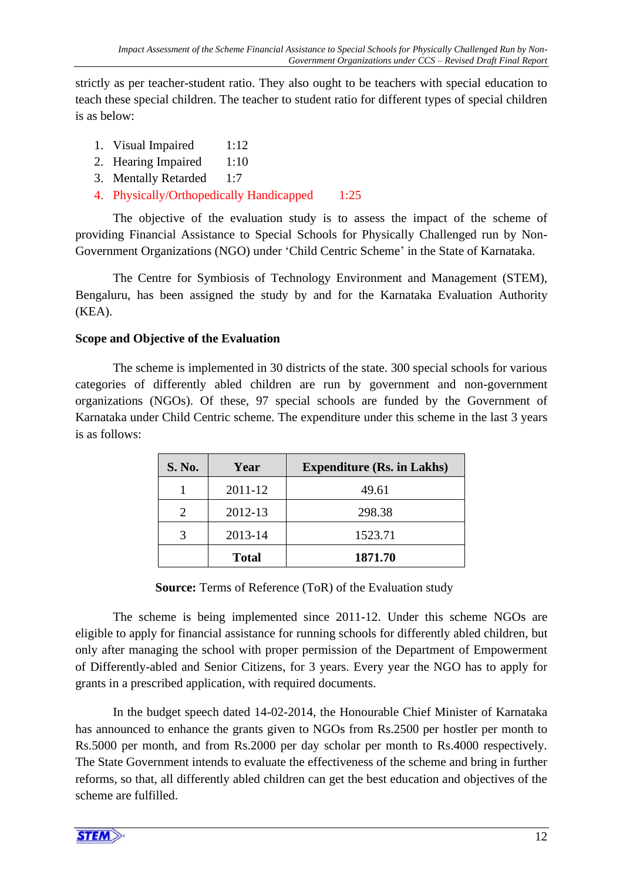strictly as per teacher-student ratio. They also ought to be teachers with special education to teach these special children. The teacher to student ratio for different types of special children is as below:

- 1. Visual Impaired 1:12
- 2. Hearing Impaired 1:10
- 3. Mentally Retarded 1:7
- 4. Physically/Orthopedically Handicapped 1:25

The objective of the evaluation study is to assess the impact of the scheme of providing Financial Assistance to Special Schools for Physically Challenged run by Non-Government Organizations (NGO) under 'Child Centric Scheme' in the State of Karnataka.

The Centre for Symbiosis of Technology Environment and Management (STEM), Bengaluru, has been assigned the study by and for the Karnataka Evaluation Authority (KEA).

## **Scope and Objective of the Evaluation**

The scheme is implemented in 30 districts of the state. 300 special schools for various categories of differently abled children are run by government and non-government organizations (NGOs). Of these, 97 special schools are funded by the Government of Karnataka under Child Centric scheme. The expenditure under this scheme in the last 3 years is as follows:

| S. No.                      | Year         | <b>Expenditure (Rs. in Lakhs)</b> |
|-----------------------------|--------------|-----------------------------------|
|                             | 2011-12      | 49.61                             |
| $\mathcal{D}_{\mathcal{A}}$ | 2012-13      | 298.38                            |
|                             | 2013-14      | 1523.71                           |
|                             | <b>Total</b> | 1871.70                           |

**Source:** Terms of Reference (ToR) of the Evaluation study

The scheme is being implemented since 2011-12. Under this scheme NGOs are eligible to apply for financial assistance for running schools for differently abled children, but only after managing the school with proper permission of the Department of Empowerment of Differently-abled and Senior Citizens, for 3 years. Every year the NGO has to apply for grants in a prescribed application, with required documents.

In the budget speech dated 14-02-2014, the Honourable Chief Minister of Karnataka has announced to enhance the grants given to NGOs from Rs.2500 per hostler per month to Rs.5000 per month, and from Rs.2000 per day scholar per month to Rs.4000 respectively. The State Government intends to evaluate the effectiveness of the scheme and bring in further reforms, so that, all differently abled children can get the best education and objectives of the scheme are fulfilled.

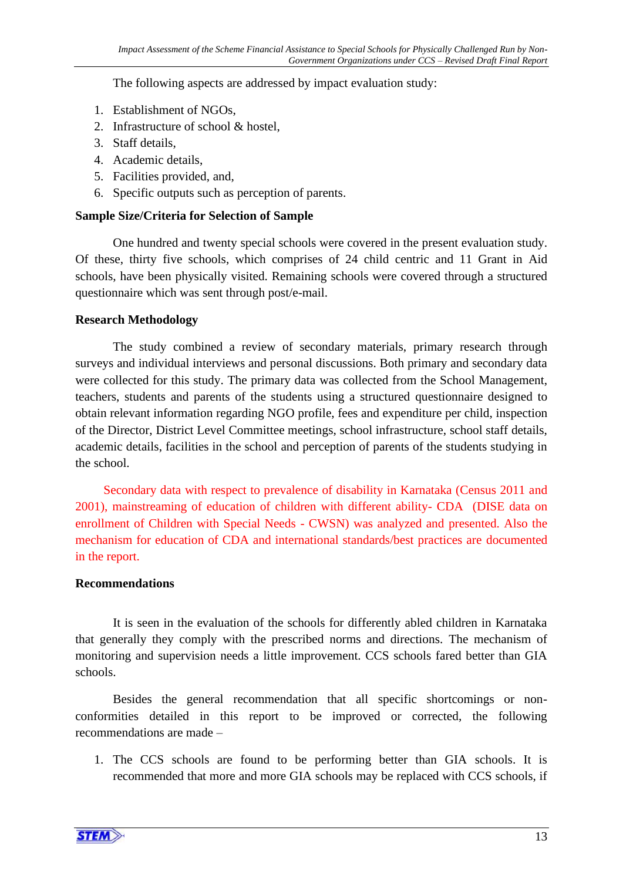The following aspects are addressed by impact evaluation study:

- 1. Establishment of NGOs,
- 2. Infrastructure of school & hostel,
- 3. Staff details,
- 4. Academic details,
- 5. Facilities provided, and,
- 6. Specific outputs such as perception of parents.

### **Sample Size/Criteria for Selection of Sample**

One hundred and twenty special schools were covered in the present evaluation study. Of these, thirty five schools, which comprises of 24 child centric and 11 Grant in Aid schools, have been physically visited. Remaining schools were covered through a structured questionnaire which was sent through post/e-mail.

### **Research Methodology**

The study combined a review of secondary materials, primary research through surveys and individual interviews and personal discussions. Both primary and secondary data were collected for this study. The primary data was collected from the School Management, teachers, students and parents of the students using a structured questionnaire designed to obtain relevant information regarding NGO profile, fees and expenditure per child, inspection of the Director, District Level Committee meetings, school infrastructure, school staff details, academic details, facilities in the school and perception of parents of the students studying in the school.

Secondary data with respect to prevalence of disability in Karnataka (Census 2011 and 2001), mainstreaming of education of children with different ability- CDA (DISE data on enrollment of Children with Special Needs - CWSN) was analyzed and presented. Also the mechanism for education of CDA and international standards/best practices are documented in the report.

#### **Recommendations**

It is seen in the evaluation of the schools for differently abled children in Karnataka that generally they comply with the prescribed norms and directions. The mechanism of monitoring and supervision needs a little improvement. CCS schools fared better than GIA schools.

Besides the general recommendation that all specific shortcomings or nonconformities detailed in this report to be improved or corrected, the following recommendations are made –

1. The CCS schools are found to be performing better than GIA schools. It is recommended that more and more GIA schools may be replaced with CCS schools, if